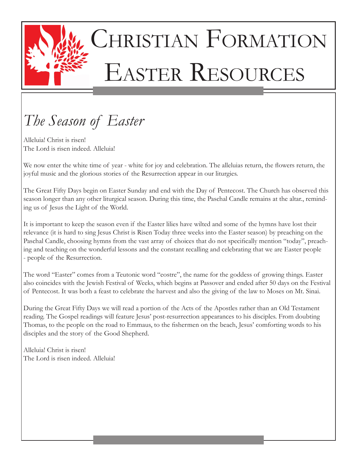

# CHRISTIAN FORMATION Easter Resources

# *The Season of Easter*

Alleluia! Christ is risen! The Lord is risen indeed. Alleluia!

We now enter the white time of year - white for joy and celebration. The alleluias return, the flowers return, the joyful music and the glorious stories of the Resurrection appear in our liturgies.

The Great Fifty Days begin on Easter Sunday and end with the Day of Pentecost. The Church has observed this season longer than any other liturgical season. During this time, the Paschal Candle remains at the altar., reminding us of Jesus the Light of the World.

It is important to keep the season even if the Easter lilies have wilted and some of the hymns have lost their relevance (it is hard to sing Jesus Christ is Risen Today three weeks into the Easter season) by preaching on the Paschal Candle, choosing hymns from the vast array of choices that do not specifically mention "today", preaching and teaching on the wonderful lessons and the constant recalling and celebrating that we are Easter people - people of the Resurrection.

The word "Easter" comes from a Teutonic word "eostre", the name for the goddess of growing things. Easter also coincides with the Jewish Festival of Weeks, which begins at Passover and ended after 50 days on the Festival of Pentecost. It was both a feast to celebrate the harvest and also the giving of the law to Moses on Mt. Sinai.

During the Great Fifty Days we will read a portion of the Acts of the Apostles rather than an Old Testament reading. The Gospel readings will feature Jesus' post-resurrection appearances to his disciples. From doubting Thomas, to the people on the road to Emmaus, to the fishermen on the beach, Jesus' comforting words to his disciples and the story of the Good Shepherd.

Alleluia! Christ is risen! The Lord is risen indeed. Alleluia!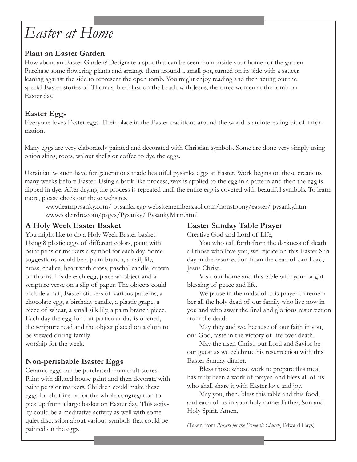# *Easter at Home*

### **Plant an Easter Garden**

How about an Easter Garden? Designate a spot that can be seen from inside your home for the garden. Purchase some flowering plants and arrange them around a small pot, turned on its side with a saucer leaning against the side to represent the open tomb. You might enjoy reading and then acting out the special Easter stories of Thomas, breakfast on the beach with Jesus, the three women at the tomb on Easter day.

### **Easter Eggs**

Everyone loves Easter eggs. Their place in the Easter traditions around the world is an interesting bit of information.

Many eggs are very elaborately painted and decorated with Christian symbols. Some are done very simply using onion skins, roots, walnut shells or coffee to dye the eggs.

Ukrainian women have for generations made beautiful pysanka eggs at Easter. Work begins on these creations many weeks before Easter. Using a batik-like process, wax is applied to the egg in a pattern and then the egg is dipped in dye. After drying the process is repeated until the entire egg is covered with beautiful symbols. To learn more, please check out these websites.

www.learnpysanky.com/ pysanka egg websitemembers.aol.com/nonstopny/easter/ pysanky.htm www.todeirdre.com/pages/Pysanky/ PysankyMain.html

### **A Holy Week Easter Basket**

You might like to do a Holy Week Easter basket. Using 8 plastic eggs of different colors, paint with paint pens or markers a symbol for each day. Some suggestions would be a palm branch, a nail, lily, cross, chalice, heart with cross, paschal candle, crown of thorns. Inside each egg, place an object and a scripture verse on a slip of paper. The objects could include a nail, Easter stickers of various patterns, a chocolate egg, a birthday candle, a plastic grape, a piece of wheat, a small silk lily, a palm branch piece. Each day the egg for that particular day is opened, the scripture read and the object placed on a cloth to be viewed during family worship for the week.

### **Non-perishable Easter Eggs**

Ceramic eggs can be purchased from craft stores. Paint with diluted house paint and then decorate with paint pens or markers. Children could make these eggs for shut-ins or for the whole congregation to pick up from a large basket on Easter day. This activity could be a meditative activity as well with some quiet discussion about various symbols that could be painted on the eggs.

### **Easter Sunday Table Prayer**

Creative God and Lord of Life,

 You who call forth from the darkness of death all those who love you, we rejoice on this Easter Sunday in the resurrection from the dead of our Lord, Jesus Christ.

 Visit our home and this table with your bright blessing of peace and life.

 We pause in the midst of this prayer to remember all the holy dead of our family who live now in you and who await the final and glorious resurrection from the dead.

 May they and we, because of our faith in you, our God, taste in the victory of life over death.

 May the risen Christ, our Lord and Savior be our guest as we celebrate his resurrection with this Easter Sunday dinner.

 Bless those whose work to prepare this meal has truly been a work of prayer, and bless all of us who shall share it with Easter love and joy.

 May you, then, bless this table and this food, and each of us in your holy name: Father, Son and Holy Spirit. Amen.

(Taken from *Prayers for the Domestic Church*, Edward Hays)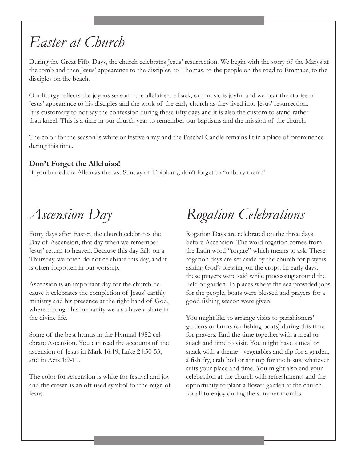### *Easter at Church*

During the Great Fifty Days, the church celebrates Jesus' resurrection. We begin with the story of the Marys at the tomb and then Jesus' appearance to the disciples, to Thomas, to the people on the road to Emmaus, to the disciples on the beach.

Our liturgy reflects the joyous season - the alleluias are back, our music is joyful and we hear the stories of Jesus' appearance to his disciples and the work of the early church as they lived into Jesus' resurrection. It is customary to not say the confession during these fifty days and it is also the custom to stand rather than kneel. This is a time in our church year to remember our baptisms and the mission of the church.

The color for the season is white or festive array and the Paschal Candle remains lit in a place of prominence during this time.

#### **Don't Forget the Alleluias!**

If you buried the Alleluias the last Sunday of Epiphany, don't forget to "unbury them."

### *Ascension Day*

Forty days after Easter, the church celebrates the Day of Ascension, that day when we remember Jesus' return to heaven. Because this day falls on a Thursday, we often do not celebrate this day, and it is often forgotten in our worship.

Ascension is an important day for the church because it celebrates the completion of Jesus' earthly ministry and his presence at the right hand of God, where through his humanity we also have a share in the divine life.

Some of the best hymns in the Hymnal 1982 celebrate Ascension. You can read the accounts of the ascension of Jesus in Mark 16:19, Luke 24:50-53, and in Acts 1:9-11.

The color for Ascension is white for festival and joy and the crown is an oft-used symbol for the reign of Jesus.

# *Rogation Celebrations*

Rogation Days are celebrated on the three days before Ascension. The word rogation comes from the Latin word "rogare" which means to ask. These rogation days are set aside by the church for prayers asking God's blessing on the crops. In early days, these prayers were said while processing around the field or garden. In places where the sea provided jobs for the people, boats were blessed and prayers for a good fishing season were given.

You might like to arrange visits to parishioners' gardens or farms (or fishing boats) during this time for prayers. End the time together with a meal or snack and time to visit. You might have a meal or snack with a theme - vegetables and dip for a garden, a fish fry, crab boil or shrimp for the boats, whatever suits your place and time. You might also end your celebration at the church with refreshments and the opportunity to plant a flower garden at the church for all to enjoy during the summer months.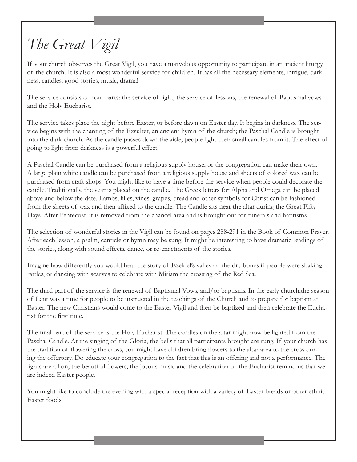# *The Great Vigil*

If your church observes the Great Vigil, you have a marvelous opportunity to participate in an ancient liturgy of the church. It is also a most wonderful service for children. It has all the necessary elements, intrigue, darkness, candles, good stories, music, drama!

The service consists of four parts: the service of light, the service of lessons, the renewal of Baptismal vows and the Holy Eucharist.

The service takes place the night before Easter, or before dawn on Easter day. It begins in darkness. The service begins with the chanting of the Exsultet, an ancient hymn of the church; the Paschal Candle is brought into the dark church. As the candle passes down the aisle, people light their small candles from it. The effect of going to light from darkness is a powerful effect.

A Paschal Candle can be purchased from a religious supply house, or the congregation can make their own. A large plain white candle can be purchased from a religious supply house and sheets of colored wax can be purchased from craft shops. You might like to have a time before the service when people could decorate the candle. Traditionally, the year is placed on the candle. The Greek letters for Alpha and Omega can be placed above and below the date. Lambs, lilies, vines, grapes, bread and other symbols for Christ can be fashioned from the sheets of wax and then affixed to the candle. The Candle sits near the altar during the Great Fifty Days. After Pentecost, it is removed from the chancel area and is brought out for funerals and baptisms.

The selection of wonderful stories in the Vigil can be found on pages 288-291 in the Book of Common Prayer. After each lesson, a psalm, canticle or hymn may be sung. It might be interesting to have dramatic readings of the stories, along with sound effects, dance, or re-enactments of the stories.

Imagine how differently you would hear the story of Ezekiel's valley of the dry bones if people were shaking rattles, or dancing with scarves to celebrate with Miriam the crossing of the Red Sea.

The third part of the service is the renewal of Baptismal Vows, and/or baptisms. In the early church,the season of Lent was a time for people to be instructed in the teachings of the Church and to prepare for baptism at Easter. The new Christians would come to the Easter Vigil and then be baptized and then celebrate the Eucharist for the first time.

The final part of the service is the Holy Eucharist. The candles on the altar might now be lighted from the Paschal Candle. At the singing of the Gloria, the bells that all participants brought are rung. If your church has the tradition of flowering the cross, you might have children bring flowers to the altar area to the cross during the offertory. Do educate your congregation to the fact that this is an offering and not a performance. The lights are all on, the beautiful flowers, the joyous music and the celebration of the Eucharist remind us that we are indeed Easter people.

You might like to conclude the evening with a special reception with a variety of Easter breads or other ethnic Easter foods.